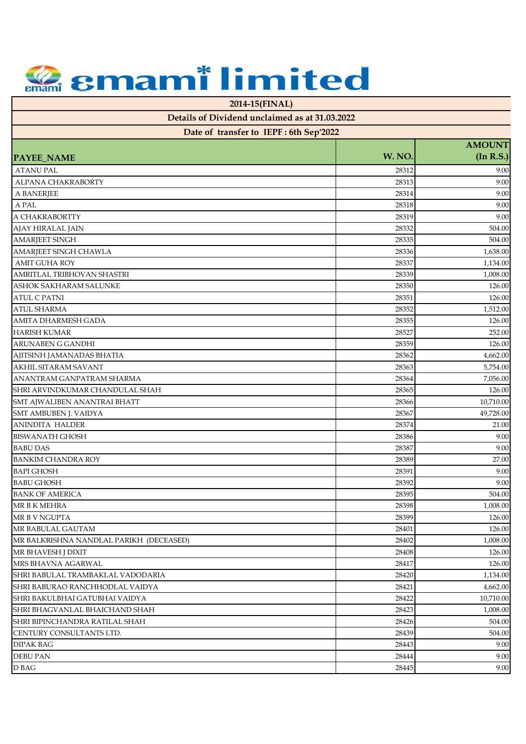**2014-15(FINAL)**

| Date of transfer to IEPF: 6th Sep'2022  |        |                            |
|-----------------------------------------|--------|----------------------------|
| PAYEE_NAME                              | W. NO. | <b>AMOUNT</b><br>(In R.S.) |
| <b>ATANU PAL</b>                        | 28312  | 9.00                       |
| ALPANA CHAKRABORTY                      | 28313  | 9.00                       |
| A BANERJEE                              | 28314  | 9.00                       |
| A PAL                                   | 28318  | 9.00                       |
| A CHAKRABORTTY                          | 28319  | 9.00                       |
| AJAY HIRALAL JAIN                       | 28332  | 504.00                     |
| <b>AMARJEET SINGH</b>                   | 28335  | 504.00                     |
| AMARJEET SINGH CHAWLA                   | 28336  | 1,638.00                   |
| <b>AMIT GUHA ROY</b>                    | 28337  | 1,134.00                   |
| AMRITLAL TRIBHOVAN SHASTRI              | 28339  | 1,008.00                   |
| ASHOK SAKHARAM SALUNKE                  | 28350  | 126.00                     |
| <b>ATUL C PATNI</b>                     | 28351  | 126.00                     |
| <b>ATUL SHARMA</b>                      | 28352  | 1,512.00                   |
| <b>AMITA DHARMESH GADA</b>              | 28355  | 126.00                     |
| <b>HARISH KUMAR</b>                     | 28527  | 252.00                     |
| <b>ARUNABEN G GANDHI</b>                | 28359  | 126.00                     |
| AJITSINH JAMANADAS BHATIA               | 28362  | 4,662.00                   |
| AKHIL SITARAM SAVANT                    | 28363  | 5,754.00                   |
| ANANTRAM GANPATRAM SHARMA               | 28364  | 7,056.00                   |
| SHRI ARVINDKUMAR CHANDULAL SHAH         | 28365  | 126.00                     |
| SMT AJWALIBEN ANANTRAI BHATT            | 28366  | 10,710.00                  |
| SMT AMBUBEN J. VAIDYA                   | 28367  | 49,728.00                  |
| <b>ANINDITA HALDER</b>                  | 28374  | 21.00                      |
| <b>BISWANATH GHOSH</b>                  | 28386  | 9.00                       |
| <b>BABU DAS</b>                         | 28387  | 9.00                       |
| <b>BANKIM CHANDRA ROY</b>               | 28389  | 27.00                      |
| <b>BAPI GHOSH</b>                       | 28391  | 9.00                       |
| <b>BABU GHOSH</b>                       | 28392  | 9.00                       |
| <b>BANK OF AMERICA</b>                  | 28395  | 504.00                     |
| MR B K MEHRA                            | 28398  | 1,008.00                   |
| MR B V NGUPTA                           | 28399  | 126.00                     |
| MR BABULAL GAUTAM                       | 28401  | 126.00                     |
| MR BALKRISHNA NANDLAL PARIKH (DECEASED) | 28402  | 1,008.00                   |
| MR BHAVESH J DIXIT                      | 28408  | 126.00                     |
| MRS BHAVNA AGARWAL                      | 28417  | 126.00                     |
| SHRI BABULAL TRAMBAKLAL VADODARIA       | 28420  | 1,134.00                   |
| SHRI BABURAO RANCHHODLAL VAIDYA         | 28421  | 4,662.00                   |
| SHRI BAKULBHAI GATUBHAI VAIDYA          | 28422  | 10,710.00                  |
| SHRI BHAGVANLAL BHAICHAND SHAH          | 28423  | 1,008.00                   |
| SHRI BIPINCHANDRA RATILAL SHAH          | 28426  | 504.00                     |
| CENTURY CONSULTANTS LTD.                | 28439  | 504.00                     |
| <b>DIPAK BAG</b>                        | 28443  | 9.00                       |
| <b>DEBU PAN</b>                         | 28444  | 9.00                       |
| D BAG                                   | 28445  | 9.00                       |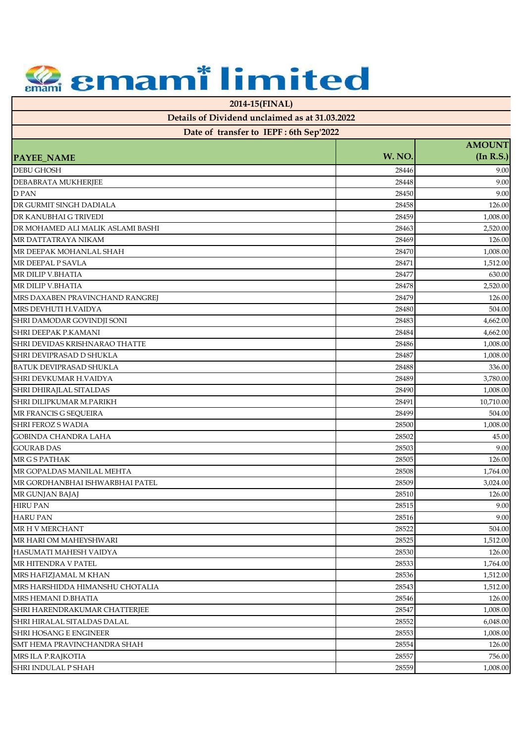**2014-15(FINAL)**

| Date of transfer to IEPF: 6th Sep'2022 |        |                            |
|----------------------------------------|--------|----------------------------|
| <b>PAYEE_NAME</b>                      | W. NO. | <b>AMOUNT</b><br>(In R.S.) |
| <b>DEBU GHOSH</b>                      | 28446  | 9.00                       |
| DEBABRATA MUKHERJEE                    | 28448  | 9.00                       |
| <b>DPAN</b>                            | 28450  | 9.00                       |
| DR GURMIT SINGH DADIALA                | 28458  | 126.00                     |
| DR KANUBHAI G TRIVEDI                  | 28459  | 1,008.00                   |
| DR MOHAMED ALI MALIK ASLAMI BASHI      | 28463  | 2,520.00                   |
| MR DATTATRAYA NIKAM                    | 28469  | 126.00                     |
| MR DEEPAK MOHANLAL SHAH                | 28470  | 1,008.00                   |
| MR DEEPAL P SAVLA                      | 28471  | 1,512.00                   |
| MR DILIP V.BHATIA                      | 28477  | 630.00                     |
| MR DILIP V.BHATIA                      | 28478  | 2,520.00                   |
| MRS DAXABEN PRAVINCHAND RANGREJ        | 28479  | 126.00                     |
| MRS DEVHUTI H.VAIDYA                   | 28480  | 504.00                     |
| SHRI DAMODAR GOVINDJI SONI             | 28483  | 4,662.00                   |
| SHRI DEEPAK P.KAMANI                   | 28484  | 4,662.00                   |
| SHRI DEVIDAS KRISHNARAO THATTE         | 28486  | 1,008.00                   |
| SHRI DEVIPRASAD D SHUKLA               | 28487  | 1,008.00                   |
| <b>BATUK DEVIPRASAD SHUKLA</b>         | 28488  | 336.00                     |
| SHRI DEVKUMAR H.VAIDYA                 | 28489  | 3,780.00                   |
| SHRI DHIRAJLAL SITALDAS                | 28490  | 1,008.00                   |
| SHRI DILIPKUMAR M.PARIKH               | 28491  | 10,710.00                  |
| MR FRANCIS G SEQUEIRA                  | 28499  | 504.00                     |
| <b>SHRI FEROZ S WADIA</b>              | 28500  | 1,008.00                   |
| <b>GOBINDA CHANDRA LAHA</b>            | 28502  | 45.00                      |
| <b>GOURAB DAS</b>                      | 28503  | 9.00                       |
| MR G S PATHAK                          | 28505  | 126.00                     |
| MR GOPALDAS MANILAL MEHTA              | 28508  | 1,764.00                   |
| MR GORDHANBHAI ISHWARBHAI PATEL        | 28509  | 3,024.00                   |
| MR GUNJAN BAJAJ                        | 28510  | 126.00                     |
| <b>HIRU PAN</b>                        | 28515  | 9.00                       |
| HARU PAN                               | 28516  | $9.00\,$                   |
| MR H V MERCHANT                        | 28522  | 504.00                     |
| MR HARI OM MAHEYSHWARI                 | 28525  | 1,512.00                   |
| <b>HASUMATI MAHESH VAIDYA</b>          | 28530  | 126.00                     |
| MR HITENDRA V PATEL                    | 28533  | 1,764.00                   |
| MRS HAFIZJAMAL M KHAN                  | 28536  | 1,512.00                   |
| MRS HARSHIDDA HIMANSHU CHOTALIA        | 28543  | 1,512.00                   |
| MRS HEMANI D.BHATIA                    | 28546  | 126.00                     |
| SHRI HARENDRAKUMAR CHATTERJEE          | 28547  | 1,008.00                   |
| SHRI HIRALAL SITALDAS DALAL            | 28552  | 6,048.00                   |
| <b>SHRI HOSANG E ENGINEER</b>          | 28553  | 1,008.00                   |
| SMT HEMA PRAVINCHANDRA SHAH            | 28554  | 126.00                     |
| MRS ILA P.RAJKOTIA                     | 28557  | 756.00                     |
| SHRI INDULAL P SHAH                    | 28559  | 1,008.00                   |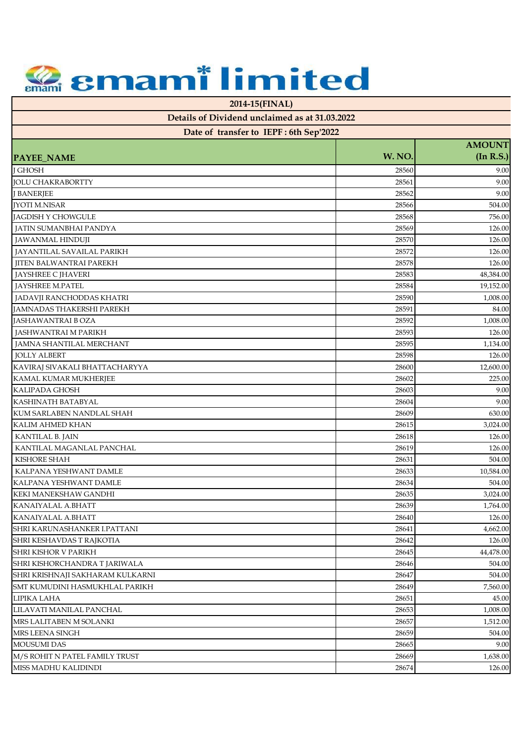**2014-15(FINAL)**

| Date of transfer to IEPF: 6th Sep'2022                             |                |                            |
|--------------------------------------------------------------------|----------------|----------------------------|
| <b>PAYEE_NAME</b>                                                  | W. NO.         | <b>AMOUNT</b><br>(In R.S.) |
| <b>J GHOSH</b>                                                     | 28560          | 9.00                       |
| <b>JOLU CHAKRABORTTY</b>                                           | 28561          | 9.00                       |
| <b>J BANERJEE</b>                                                  | 28562          | 9.00                       |
| <b>JYOTI M.NISAR</b>                                               | 28566          | 504.00                     |
| JAGDISH Y CHOWGULE                                                 | 28568          | 756.00                     |
| JATIN SUMANBHAI PANDYA                                             | 28569          | 126.00                     |
| <b>JAWANMAL HINDUJI</b>                                            | 28570          | 126.00                     |
| JAYANTILAL SAVAILAL PARIKH                                         | 28572          | 126.00                     |
| <b>JITEN BALWANTRAI PAREKH</b>                                     | 28578          | 126.00                     |
|                                                                    | 28583          | 48,384.00                  |
| JAYSHREE C JHAVERI<br>JAYSHREE M.PATEL                             | 28584          |                            |
|                                                                    |                | 19,152.00                  |
| JADAVJI RANCHODDAS KHATRI<br>JAMNADAS THAKERSHI PAREKH             | 28590<br>28591 | 1,008.00                   |
| <b>JASHAWANTRAI B OZA</b>                                          |                | 84.00<br>1,008.00          |
|                                                                    | 28592<br>28593 |                            |
| JASHWANTRAI M PARIKH<br><b>JAMNA SHANTILAL MERCHANT</b>            | 28595          | 126.00                     |
| <b>JOLLY ALBERT</b>                                                | 28598          | 1,134.00<br>126.00         |
| KAVIRAJ SIVAKALI BHATTACHARYYA                                     | 28600          | 12,600.00                  |
| KAMAL KUMAR MUKHERJEE                                              | 28602          | 225.00                     |
| <b>KALIPADA GHOSH</b>                                              | 28603          | 9.00                       |
| KASHINATH BATABYAL                                                 | 28604          | 9.00                       |
| KUM SARLABEN NANDLAL SHAH                                          | 28609          | 630.00                     |
| <b>KALIM AHMED KHAN</b>                                            |                |                            |
|                                                                    | 28615          | 3,024.00                   |
| KANTILAL B. JAIN                                                   | 28618          | 126.00                     |
| KANTILAL MAGANLAL PANCHAL<br><b>KISHORE SHAH</b>                   | 28619          | 126.00                     |
| KALPANA YESHWANT DAMLE                                             | 28631<br>28633 | 504.00<br>10,584.00        |
| KALPANA YESHWANT DAMLE                                             | 28634          | 504.00                     |
| <b>KEKI MANEKSHAW GANDHI</b>                                       | 28635          | 3,024.00                   |
|                                                                    |                |                            |
| KANAIYALAL A.BHATT<br>KANAIYALAL A.BHATT                           | 28639          | 1,764.00<br>126.00         |
|                                                                    | 28640          |                            |
| SHRI KARUNASHANKER I.PATTANI                                       | 28641          | 4,662.00                   |
| SHRI KESHAVDAS T RAJKOTIA                                          | 28642          | 126.00                     |
| <b>SHRI KISHOR V PARIKH</b><br>SHRI KISHORCHANDRA T JARIWALA       | 28645          | 44,478.00                  |
|                                                                    | 28646          | 504.00<br>504.00           |
| SHRI KRISHNAJI SAKHARAM KULKARNI<br>SMT KUMUDINI HASMUKHLAL PARIKH | 28647<br>28649 |                            |
| LIPIKA LAHA                                                        | 28651          | 7,560.00<br>45.00          |
|                                                                    |                |                            |
| LILAVATI MANILAL PANCHAL<br>MRS LALITABEN M SOLANKI                | 28653          | 1,008.00<br>1,512.00       |
| MRS LEENA SINGH                                                    | 28657<br>28659 |                            |
|                                                                    |                | 504.00                     |
| <b>MOUSUMI DAS</b>                                                 | 28665          | 9.00                       |
| M/S ROHIT N PATEL FAMILY TRUST                                     | 28669          | 1,638.00                   |
| MISS MADHU KALIDINDI                                               | 28674          | 126.00                     |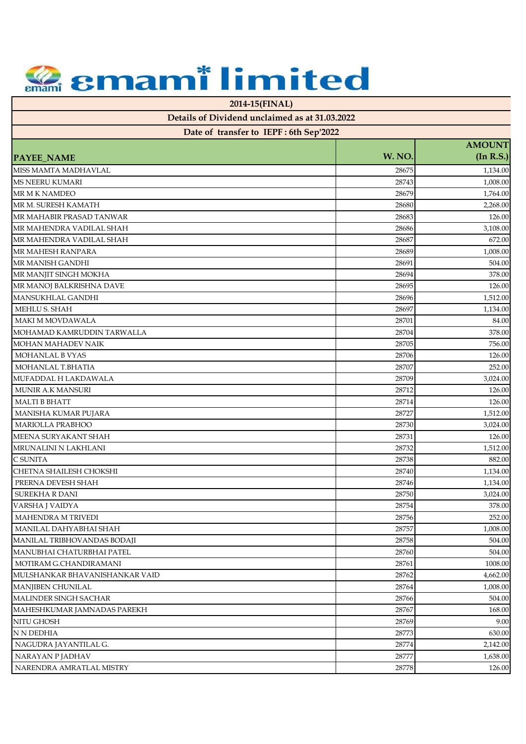**2014-15(FINAL)**

| Date of transfer to IEPF : 6th Sep'2022 |  |
|-----------------------------------------|--|
|                                         |  |

|                                |        | <b>AMOUNT</b> |
|--------------------------------|--------|---------------|
| <b>PAYEE_NAME</b>              | W. NO. | (In R.S.)     |
| MISS MAMTA MADHAVLAL           | 28675  | 1,134.00      |
| <b>MS NEERU KUMARI</b>         | 28743  | 1,008.00      |
| <b>MR M K NAMDEO</b>           | 28679  | 1,764.00      |
| MR M. SURESH KAMATH            | 28680  | 2,268.00      |
| MR MAHABIR PRASAD TANWAR       | 28683  | 126.00        |
| MR MAHENDRA VADILAL SHAH       | 28686  | 3,108.00      |
| MR MAHENDRA VADILAL SHAH       | 28687  | 672.00        |
| <b>MR MAHESH RANPARA</b>       | 28689  | 1,008.00      |
| MR MANISH GANDHI               | 28691  | 504.00        |
| MR MANJIT SINGH MOKHA          | 28694  | 378.00        |
| MR MANOJ BALKRISHNA DAVE       | 28695  | 126.00        |
| MANSUKHLAL GANDHI              | 28696  | 1,512.00      |
| MEHLU S. SHAH                  | 28697  | 1,134.00      |
| <b>MAKI M MOVDAWALA</b>        | 28701  | 84.00         |
| MOHAMAD KAMRUDDIN TARWALLA     | 28704  | 378.00        |
| <b>MOHAN MAHADEV NAIK</b>      | 28705  | 756.00        |
| MOHANLAL B VYAS                | 28706  | 126.00        |
| MOHANLAL T.BHATIA              | 28707  | 252.00        |
| MUFADDAL H LAKDAWALA           | 28709  | 3,024.00      |
| <b>MUNIR A.K MANSURI</b>       | 28712  | 126.00        |
| <b>MALTI B BHATT</b>           | 28714  | 126.00        |
| MANISHA KUMAR PUJARA           | 28727  | 1,512.00      |
| <b>MARIOLLA PRABHOO</b>        | 28730  | 3,024.00      |
| MEENA SURYAKANT SHAH           | 28731  | 126.00        |
| MRUNALINI N LAKHLANI           | 28732  | 1,512.00      |
| C SUNITA                       | 28738  | 882.00        |
| CHETNA SHAILESH CHOKSHI        | 28740  | 1,134.00      |
| PRERNA DEVESH SHAH             | 28746  | 1,134.00      |
| <b>SUREKHA R DANI</b>          | 28750  | 3,024.00      |
| VARSHA J VAIDYA                | 28754  | 378.00        |
| <b>MAHENDRA M TRIVEDI</b>      | 28756  | 252.00        |
| MANILAL DAHYABHAI SHAH         | 28757  | 1,008.00      |
| MANILAL TRIBHOVANDAS BODAJI    | 28758  | 504.00        |
| MANUBHAI CHATURBHAI PATEL      | 28760  | 504.00        |
| MOTIRAM G.CHANDIRAMANI         | 28761  | 1008.00       |
| MULSHANKAR BHAVANISHANKAR VAID | 28762  | 4,662.00      |
| <b>MANJIBEN CHUNILAL</b>       | 28764  | 1,008.00      |
| MALINDER SINGH SACHAR          | 28766  | 504.00        |
| MAHESHKUMAR JAMNADAS PAREKH    | 28767  | 168.00        |
| <b>NITU GHOSH</b>              | 28769  | 9.00          |
| N N DEDHIA                     | 28773  | 630.00        |
| NAGUDRA JAYANTILAL G.          | 28774  | 2,142.00      |
| NARAYAN P JADHAV               | 28777  | 1,638.00      |
| NARENDRA AMRATLAL MISTRY       | 28778  | 126.00        |
|                                |        |               |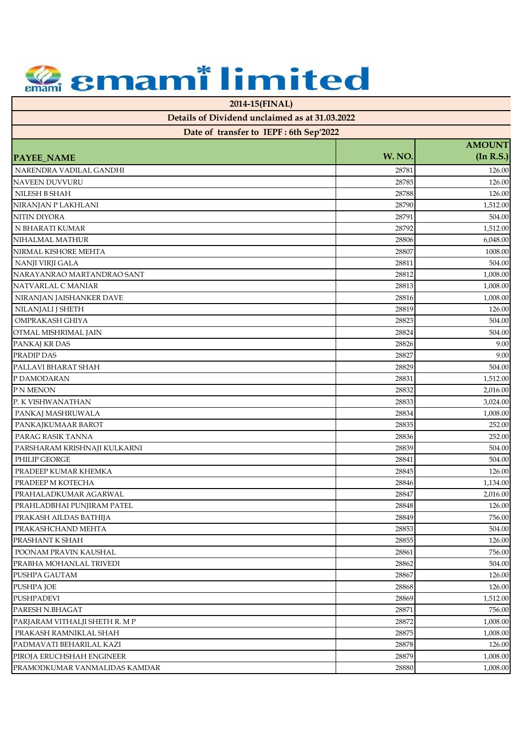**2014-15(FINAL)**

| Date of transfer to IEPF: 6th Sep'2022 |        |               |
|----------------------------------------|--------|---------------|
|                                        |        | <b>AMOUNT</b> |
| <b>PAYEE_NAME</b>                      | W. NO. | (In R.S.)     |
| NARENDRA VADILAL GANDHI                | 28781  | 126.00        |
| <b>NAVEEN DUVVURU</b>                  | 28785  | 126.00        |
| NILESH B SHAH                          | 28788  | 126.00        |
| NIRANJAN P LAKHLANI                    | 28790  | 1,512.00      |
| <b>NITIN DIYORA</b>                    | 28791  | 504.00        |
| N BHARATI KUMAR                        | 28792  | 1,512.00      |
| NIHALMAL MATHUR                        | 28806  | 6,048.00      |
| NIRMAL KISHORE MEHTA                   | 28807  | 1008.00       |
| NANJI VIRJI GALA                       | 28811  | 504.00        |
| NARAYANRAO MARTANDRAO SANT             | 28812  | 1,008.00      |
| NATVARLAL C MANIAR                     | 28813  | 1,008.00      |
| NIRANJAN JAISHANKER DAVE               | 28816  | 1,008.00      |
| NILANJALI J SHETH                      | 28819  | 126.00        |
| OMPRAKASH GHIYA                        | 28823  | 504.00        |
| OTMAL MISHRIMAL JAIN                   | 28824  | 504.00        |
| PANKAJ KR DAS                          | 28826  | 9.00          |
| <b>PRADIP DAS</b>                      | 28827  | 9.00          |
| PALLAVI BHARAT SHAH                    | 28829  | 504.00        |
| P DAMODARAN                            | 28831  | 1,512.00      |
| P N MENON                              | 28832  | 2,016.00      |
| P. K VISHWANATHAN                      | 28833  | 3,024.00      |
| PANKAJ MASHRUWALA                      | 28834  | 1,008.00      |
| PANKAJKUMAAR BAROT                     | 28835  | 252.00        |
| PARAG RASIK TANNA                      | 28836  | 252.00        |
| PARSHARAM KRISHNAJI KULKARNI           | 28839  | 504.00        |
| PHILIP GEORGE                          | 28841  | 504.00        |
| PRADEEP KUMAR KHEMKA                   | 28845  | 126.00        |
| PRADEEP M KOTECHA                      | 28846  | 1,134.00      |
| PRAHALADKUMAR AGARWAL                  | 28847  | 2,016.00      |
| PRAHLADBHAI PUNJIRAM PATEL             | 28848  | 126.00        |
| PRAKASH AILDAS BATHIJA                 | 28849  | 756.00        |
| PRAKASHCHAND MEHTA                     | 28853  | 504.00        |
| PRASHANT K SHAH                        | 28855  | 126.00        |
| POONAM PRAVIN KAUSHAL                  | 28861  | 756.00        |
| PRABHA MOHANLAL TRIVEDI                | 28862  | 504.00        |
| PUSHPA GAUTAM                          | 28867  | 126.00        |
| <b>PUSHPA JOE</b>                      | 28868  | 126.00        |
| <b>PUSHPADEVI</b>                      | 28869  | 1,512.00      |
| PARESH N.BHAGAT                        | 28871  | 756.00        |
| PARJARAM VITHALJI SHETH R. M P         | 28872  | 1,008.00      |
| PRAKASH RAMNIKLAL SHAH                 | 28875  | 1,008.00      |
| PADMAVATI BEHARILAL KAZI               | 28878  | 126.00        |
| PIROJA ERUCHSHAH ENGINEER              | 28879  | 1,008.00      |
| PRAMODKUMAR VANMALIDAS KAMDAR          | 28880  | 1,008.00      |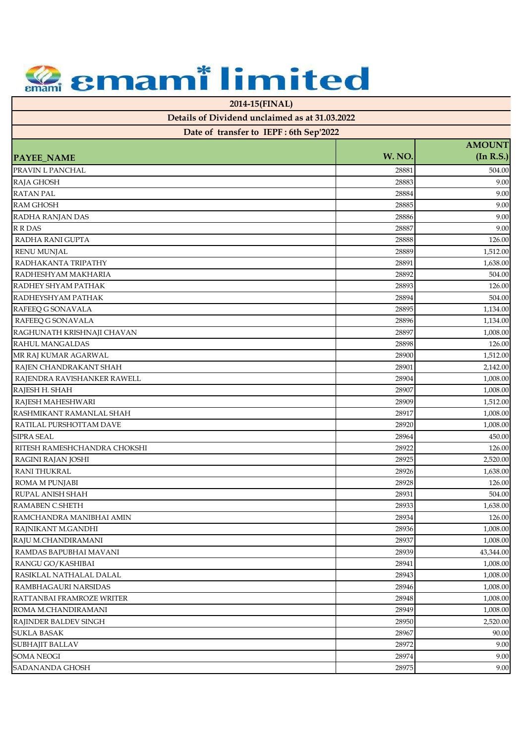**2014-15(FINAL)**

| Date of transfer to IEPF: 6th Sep'2022 |        |                            |
|----------------------------------------|--------|----------------------------|
| PAYEE_NAME                             | W. NO. | <b>AMOUNT</b><br>(In R.S.) |
| PRAVIN L PANCHAL                       | 28881  | 504.00                     |
| RAJA GHOSH                             | 28883  | 9.00                       |
|                                        | 28884  | 9.00                       |
| <b>RATAN PAL</b>                       |        |                            |
| RAM GHOSH                              | 28885  | 9.00                       |
| RADHA RANJAN DAS                       | 28886  | 9.00                       |
| <b>R R DAS</b>                         | 28887  | 9.00                       |
| RADHA RANI GUPTA                       | 28888  | 126.00                     |
| <b>RENU MUNJAL</b>                     | 28889  | 1,512.00                   |
| RADHAKANTA TRIPATHY                    | 28891  | 1,638.00                   |
| RADHESHYAM MAKHARIA                    | 28892  | 504.00                     |
| RADHEY SHYAM PATHAK                    | 28893  | 126.00                     |
| RADHEYSHYAM PATHAK                     | 28894  | 504.00                     |
| RAFEEQ G SONAVALA                      | 28895  | 1,134.00                   |
| RAFEEQ G SONAVALA                      | 28896  | 1,134.00                   |
| RAGHUNATH KRISHNAJI CHAVAN             | 28897  | 1,008.00                   |
| <b>RAHUL MANGALDAS</b>                 | 28898  | 126.00                     |
| MR RAJ KUMAR AGARWAL                   | 28900  | 1,512.00                   |
| RAJEN CHANDRAKANT SHAH                 | 28901  | 2,142.00                   |
| RAJENDRA RAVISHANKER RAWELL            | 28904  | 1,008.00                   |
| RAJESH H. SHAH                         | 28907  | 1,008.00                   |
| RAJESH MAHESHWARI                      | 28909  | 1,512.00                   |
| RASHMIKANT RAMANLAL SHAH               | 28917  | 1,008.00                   |
| RATILAL PURSHOTTAM DAVE                | 28920  | 1,008.00                   |
| <b>SIPRA SEAL</b>                      | 28964  | 450.00                     |
| RITESH RAMESHCHANDRA CHOKSHI           | 28922  | 126.00                     |
| RAGINI RAJAN JOSHI                     | 28925  | 2,520.00                   |
| RANI THUKRAL                           | 28926  | 1,638.00                   |
| ROMA M PUNJABI                         | 28928  | 126.00                     |
| RUPAL ANISH SHAH                       | 28931  | 504.00                     |
| RAMABEN C.SHETH                        | 28933  | 1,638.00                   |
| RAMCHANDRA MANIBHAI AMIN               | 28934  | 126.00                     |
| RAJNIKANT M.GANDHI                     | 28936  | 1,008.00                   |
| RAJU M.CHANDIRAMANI                    | 28937  | 1,008.00                   |
| RAMDAS BAPUBHAI MAVANI                 | 28939  | 43,344.00                  |
| RANGU GO/KASHIBAI                      | 28941  | 1,008.00                   |
| RASIKLAL NATHALAL DALAL                | 28943  | 1,008.00                   |
| RAMBHAGAURI NARSIDAS                   | 28946  | 1,008.00                   |
| RATTANBAI FRAMROZE WRITER              | 28948  | 1,008.00                   |
| ROMA M.CHANDIRAMANI                    | 28949  | 1,008.00                   |
| RAJINDER BALDEV SINGH                  | 28950  | 2,520.00                   |
| <b>SUKLA BASAK</b>                     | 28967  | 90.00                      |
| SUBHAJIT BALLAV                        | 28972  | 9.00                       |
| <b>SOMA NEOGI</b>                      | 28974  | 9.00                       |
| SADANANDA GHOSH                        | 28975  | 9.00                       |
|                                        |        |                            |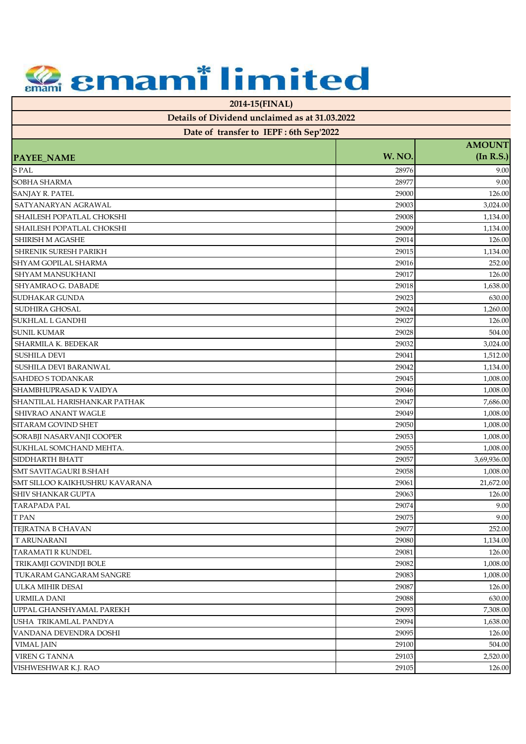**2014-15(FINAL)**

| Date of transfer to IEPF: 6th Sep'2022 |        |               |
|----------------------------------------|--------|---------------|
|                                        |        | <b>AMOUNT</b> |
| PAYEE_NAME                             | W. NO. | (In R.S.)     |
| S PAL                                  | 28976  | 9.00          |
| SOBHA SHARMA                           | 28977  | 9.00          |
| SANJAY R. PATEL                        | 29000  | 126.00        |
| SATYANARYAN AGRAWAL                    | 29003  | 3,024.00      |
| SHAILESH POPATLAL CHOKSHI              | 29008  | 1,134.00      |
| SHAILESH POPATLAL CHOKSHI              | 29009  | 1,134.00      |
| <b>SHIRISH M AGASHE</b>                | 29014  | 126.00        |
| SHRENIK SURESH PARIKH                  | 29015  | 1,134.00      |
| SHYAM GOPILAL SHARMA                   | 29016  | 252.00        |
| SHYAM MANSUKHANI                       | 29017  | 126.00        |
| SHYAMRAO G. DABADE                     | 29018  | 1,638.00      |
| SUDHAKAR GUNDA                         | 29023  | 630.00        |
| SUDHIRA GHOSAL                         | 29024  | 1,260.00      |
| SUKHLAL L GANDHI                       | 29027  | 126.00        |
| <b>SUNIL KUMAR</b>                     | 29028  | 504.00        |
| <b>SHARMILA K. BEDEKAR</b>             | 29032  | 3,024.00      |
| <b>SUSHILA DEVI</b>                    | 29041  | 1,512.00      |
| SUSHILA DEVI BARANWAL                  | 29042  | 1,134.00      |
| <b>SAHDEO S TODANKAR</b>               | 29045  | 1,008.00      |
| SHAMBHUPRASAD K VAIDYA                 | 29046  | 1,008.00      |
| SHANTILAL HARISHANKAR PATHAK           | 29047  | 7,686.00      |
| SHIVRAO ANANT WAGLE                    | 29049  | 1,008.00      |
| SITARAM GOVIND SHET                    | 29050  | 1,008.00      |
| SORABJI NASARVANJI COOPER              | 29053  | 1,008.00      |
| SUKHLAL SOMCHAND MEHTA.                | 29055  | 1,008.00      |
| SIDDHARTH BHATT                        | 29057  | 3,69,936.00   |
| <b>SMT SAVITAGAURI B.SHAH</b>          | 29058  | 1,008.00      |
| SMT SILLOO KAIKHUSHRU KAVARANA         | 29061  | 21,672.00     |
| SHIV SHANKAR GUPTA                     | 29063  | 126.00        |
| <b>TARAPADA PAL</b>                    | 29074  | 9.00          |
| <b>TPAN</b>                            | 29075  | $9.00\,$      |
| TEJRATNA B CHAVAN                      | 29077  | 252.00        |
| <b>T ARUNARANI</b>                     | 29080  | 1,134.00      |
| TARAMATI R KUNDEL                      | 29081  | 126.00        |
| TRIKAMJI GOVINDJI BOLE                 | 29082  | 1,008.00      |
| TUKARAM GANGARAM SANGRE                | 29083  | 1,008.00      |
| ULKA MIHIR DESAI                       | 29087  | 126.00        |
| <b>URMILA DANI</b>                     | 29088  | 630.00        |
| UPPAL GHANSHYAMAL PAREKH               | 29093  | 7,308.00      |
| USHA TRIKAMLAL PANDYA                  | 29094  | 1,638.00      |
| VANDANA DEVENDRA DOSHI                 | 29095  | 126.00        |
| VIMAL JAIN                             | 29100  | 504.00        |
| <b>VIREN G TANNA</b>                   | 29103  | 2,520.00      |
| VISHWESHWAR K.J. RAO                   | 29105  | 126.00        |
|                                        |        |               |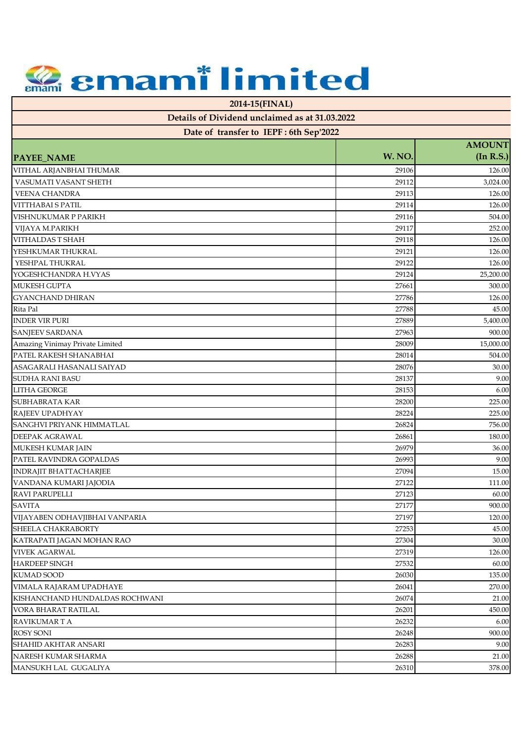**2014-15(FINAL)**

| Date of transfer to IEPF: 6th Sep'2022 |        |               |
|----------------------------------------|--------|---------------|
|                                        | W. NO. | <b>AMOUNT</b> |
| <b>PAYEE_NAME</b>                      |        | (In R.S.)     |
| VITHAL ARJANBHAI THUMAR                | 29106  | 126.00        |
| VASUMATI VASANT SHETH                  | 29112  | 3,024.00      |
| <b>VEENA CHANDRA</b>                   | 29113  | 126.00        |
| VITTHABAI S PATIL                      | 29114  | 126.00        |
| VISHNUKUMAR P PARIKH                   | 29116  | 504.00        |
| VIJAYA M.PARIKH                        | 29117  | 252.00        |
| VITHALDAS T SHAH                       | 29118  | 126.00        |
| YESHKUMAR THUKRAL                      | 29121  | 126.00        |
| YESHPAL THUKRAL                        | 29122  | 126.00        |
| YOGESHCHANDRA H.VYAS                   | 29124  | 25,200.00     |
| MUKESH GUPTA                           | 27661  | 300.00        |
| <b>GYANCHAND DHIRAN</b>                | 27786  | 126.00        |
| Rita Pal                               | 27788  | 45.00         |
| <b>INDER VIR PURI</b>                  | 27889  | 5,400.00      |
| SANJEEV SARDANA                        | 27963  | 900.00        |
| Amazing Vinimay Private Limited        | 28009  | 15,000.00     |
| PATEL RAKESH SHANABHAI                 | 28014  | 504.00        |
| ASAGARALI HASANALI SAIYAD              | 28076  | 30.00         |
| <b>SUDHA RANI BASU</b>                 | 28137  | 9.00          |
| <b>LITHA GEORGE</b>                    | 28153  | 6.00          |
| SUBHABRATA KAR                         | 28200  | 225.00        |
| RAJEEV UPADHYAY                        | 28224  | 225.00        |
| SANGHVI PRIYANK HIMMATLAL              | 26824  | 756.00        |
| DEEPAK AGRAWAL                         | 26861  | 180.00        |
| MUKESH KUMAR JAIN                      | 26979  | 36.00         |
| PATEL RAVINDRA GOPALDAS                | 26993  | 9.00          |
| <b>INDRAJIT BHATTACHARJEE</b>          | 27094  | 15.00         |
| VANDANA KUMARI JAJODIA                 | 27122  | 111.00        |
| RAVI PARUPELLI                         | 27123  | 60.00         |
| <b>SAVITA</b>                          | 27177  | 900.00        |
| VIJAYABEN ODHAVJIBHAI VANPARIA         | 27197  | 120.00        |
| SHEELA CHAKRABORTY                     | 27253  | 45.00         |
| KATRAPATI JAGAN MOHAN RAO              | 27304  | 30.00         |
| <b>VIVEK AGARWAL</b>                   | 27319  | 126.00        |
| <b>HARDEEP SINGH</b>                   | 27532  | 60.00         |
| <b>KUMAD SOOD</b>                      | 26030  | 135.00        |
| VIMALA RAJARAM UPADHAYE                | 26041  | 270.00        |
| KISHANCHAND HUNDALDAS ROCHWANI         | 26074  | 21.00         |
| VORA BHARAT RATILAL                    | 26201  | 450.00        |
| RAVIKUMAR T A                          | 26232  | 6.00          |
| <b>ROSY SONI</b>                       | 26248  | 900.00        |
| SHAHID AKHTAR ANSARI                   | 26283  | 9.00          |
|                                        |        |               |
| NARESH KUMAR SHARMA                    | 26288  | 21.00         |
| MANSUKH LAL GUGALIYA                   | 26310  | 378.00        |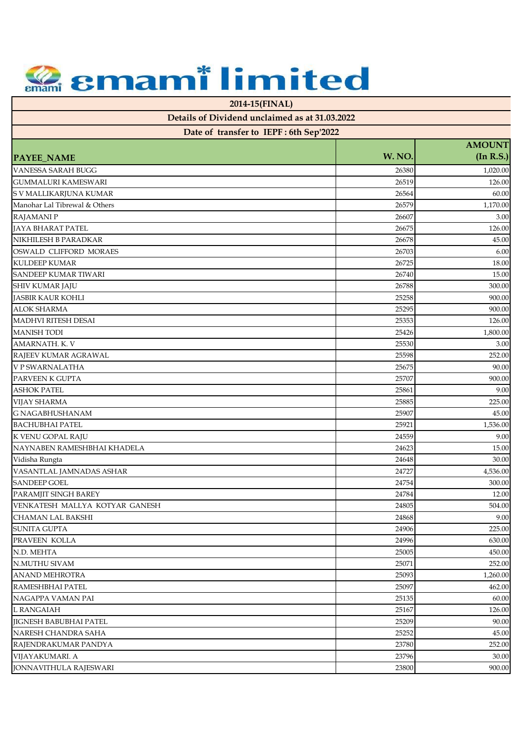**2014-15(FINAL)**

| Telalis of Dividend unclaimed as at 91.09.2022<br>Date of transfer to IEPF: 6th Sep'2022 |        |               |
|------------------------------------------------------------------------------------------|--------|---------------|
|                                                                                          |        | <b>AMOUNT</b> |
| <b>PAYEE_NAME</b>                                                                        | W. NO. | (In R.S.)     |
| <b>VANESSA SARAH BUGG</b>                                                                | 26380  | 1,020.00      |
| <b>GUMMALURI KAMESWARI</b>                                                               | 26519  | 126.00        |
| S V MALLIKARJUNA KUMAR                                                                   | 26564  | 60.00         |
| Manohar Lal Tibrewal & Others                                                            | 26579  | 1,170.00      |
| <b>RAJAMANIP</b>                                                                         | 26607  | 3.00          |
| JAYA BHARAT PATEL                                                                        | 26675  | 126.00        |
| NIKHILESH B PARADKAR                                                                     | 26678  | 45.00         |
| OSWALD CLIFFORD MORAES                                                                   | 26703  | 6.00          |
| <b>KULDEEP KUMAR</b>                                                                     | 26725  | 18.00         |
| <b>SANDEEP KUMAR TIWARI</b>                                                              | 26740  | 15.00         |
| SHIV KUMAR JAJU                                                                          | 26788  | 300.00        |
| <b>JASBIR KAUR KOHLI</b>                                                                 | 25258  | 900.00        |
| <b>ALOK SHARMA</b>                                                                       | 25295  | 900.00        |
| <b>MADHVI RITESH DESAI</b>                                                               | 25353  | 126.00        |
| <b>MANISH TODI</b>                                                                       | 25426  | 1,800.00      |
| AMARNATH. K. V                                                                           | 25530  | 3.00          |
| RAJEEV KUMAR AGRAWAL                                                                     | 25598  | 252.00        |
| V P SWARNALATHA                                                                          | 25675  | 90.00         |
| PARVEEN K GUPTA                                                                          | 25707  | 900.00        |
| <b>ASHOK PATEL</b>                                                                       | 25861  | 9.00          |
| <b>VIJAY SHARMA</b>                                                                      | 25885  | 225.00        |
| <b>G NAGABHUSHANAM</b>                                                                   | 25907  | 45.00         |
| <b>BACHUBHAI PATEL</b>                                                                   | 25921  | 1,536.00      |
| K VENU GOPAL RAJU                                                                        | 24559  | 9.00          |
| NAYNABEN RAMESHBHAI KHADELA                                                              | 24623  | 15.00         |
| Vidisha Rungta                                                                           | 24648  | 30.00         |
| VASANTLAL JAMNADAS ASHAR                                                                 | 24727  | 4,536.00      |
| <b>SANDEEP GOEL</b>                                                                      | 24754  | 300.00        |
| PARAMJIT SINGH BAREY                                                                     | 24784  | 12.00         |
| VENKATESH MALLYA KOTYAR GANESH                                                           | 24805  | 504.00        |
| <b>CHAMAN LAL BAKSHI</b>                                                                 | 24868  | 9.00          |
| <b>SUNITA GUPTA</b>                                                                      | 24906  | 225.00        |
| PRAVEEN KOLLA                                                                            | 24996  | 630.00        |
| N.D. MEHTA                                                                               | 25005  | 450.00        |
| N.MUTHU SIVAM                                                                            | 25071  | 252.00        |
| <b>ANAND MEHROTRA</b>                                                                    | 25093  | 1,260.00      |
| RAMESHBHAI PATEL                                                                         | 25097  | 462.00        |
| NAGAPPA VAMAN PAI                                                                        | 25135  | 60.00         |
| L RANGAIAH                                                                               | 25167  | 126.00        |
| <b>IIGNESH BABUBHAI PATEL</b>                                                            | 25209  | 90.00         |
| NARESH CHANDRA SAHA                                                                      | 25252  | 45.00         |
| RAJENDRAKUMAR PANDYA                                                                     | 23780  | 252.00        |
| VIJAYAKUMARI. A                                                                          | 23796  | 30.00         |
| JONNAVITHULA RAJESWARI                                                                   | 23800  | 900.00        |
|                                                                                          |        |               |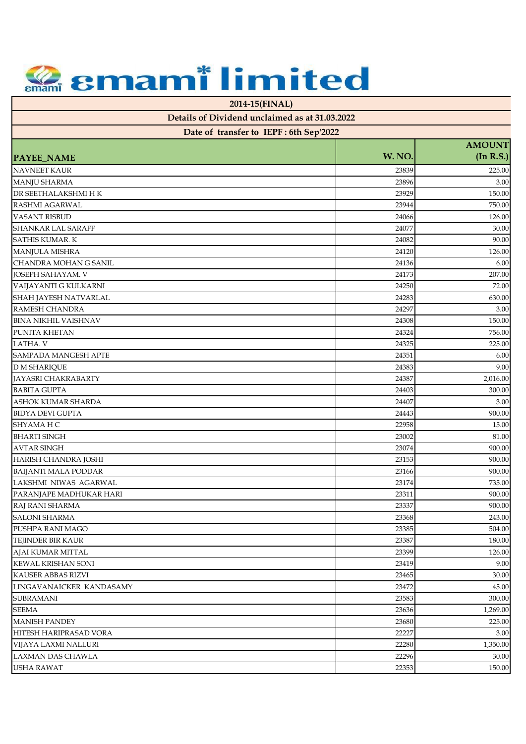**2014-15(FINAL)**

| Date of transfer to IEPF: 6th Sep'2022 |        |               |
|----------------------------------------|--------|---------------|
|                                        |        | <b>AMOUNT</b> |
| PAYEE_NAME                             | W. NO. | (In R.S.)     |
| <b>NAVNEET KAUR</b>                    | 23839  | 225.00        |
| MANJU SHARMA                           | 23896  | 3.00          |
| DR SEETHALAKSHMI H K                   | 23929  | 150.00        |
| RASHMI AGARWAL                         | 23944  | 750.00        |
| <b>VASANT RISBUD</b>                   | 24066  | 126.00        |
| SHANKAR LAL SARAFF                     | 24077  | 30.00         |
| <b>SATHIS KUMAR, K</b>                 | 24082  | 90.00         |
| MANJULA MISHRA                         | 24120  | 126.00        |
| CHANDRA MOHAN G SANIL                  | 24136  | 6.00          |
| JOSEPH SAHAYAM. V                      | 24173  | 207.00        |
| VAIJAYANTI G KULKARNI                  | 24250  | 72.00         |
| SHAH JAYESH NATVARLAL                  | 24283  | 630.00        |
| RAMESH CHANDRA                         | 24297  | 3.00          |
| <b>BINA NIKHIL VAISHNAV</b>            | 24308  | 150.00        |
| PUNITA KHETAN                          | 24324  | 756.00        |
| LATHA. V                               | 24325  | 225.00        |
| SAMPADA MANGESH APTE                   | 24351  | 6.00          |
| <b>D M SHARIQUE</b>                    | 24383  | 9.00          |
| JAYASRI CHAKRABARTY                    | 24387  | 2,016.00      |
| <b>BABITA GUPTA</b>                    | 24403  | 300.00        |
| ASHOK KUMAR SHARDA                     | 24407  | 3.00          |
| <b>BIDYA DEVI GUPTA</b>                | 24443  | 900.00        |
| SHYAMA H C                             | 22958  | 15.00         |
| <b>BHARTI SINGH</b>                    | 23002  | 81.00         |
| <b>AVTAR SINGH</b>                     | 23074  | 900.00        |
| HARISH CHANDRA JOSHI                   | 23153  | 900.00        |
| <b>BAIJANTI MALA PODDAR</b>            | 23166  | 900.00        |
| LAKSHMI NIWAS AGARWAL                  | 23174  | 735.00        |
| PARANJAPE MADHUKAR HARI                | 23311  | 900.00        |
| RAJ RANI SHARMA                        | 23337  | 900.00        |
| SALONI SHARMA                          | 23368  | 243.00        |
| PUSHPA RANI MAGO                       | 23385  | 504.00        |
| TEJINDER BIR KAUR                      | 23387  | 180.00        |
| AJAI KUMAR MITTAL                      | 23399  | 126.00        |
| KEWAL KRISHAN SONI                     | 23419  | 9.00          |
| KAUSER ABBAS RIZVI                     | 23465  | 30.00         |
| LINGAVANAICKER KANDASAMY               | 23472  | 45.00         |
| <b>SUBRAMANI</b>                       | 23583  | 300.00        |
| <b>SEEMA</b>                           | 23636  | 1,269.00      |
| <b>MANISH PANDEY</b>                   | 23680  | 225.00        |
| HITESH HARIPRASAD VORA                 | 22227  | 3.00          |
| VIJAYA LAXMI NALLURI                   | 22280  | 1,350.00      |
| LAXMAN DAS CHAWLA                      | 22296  | 30.00         |
|                                        |        |               |
| <b>USHA RAWAT</b>                      | 22353  | 150.00        |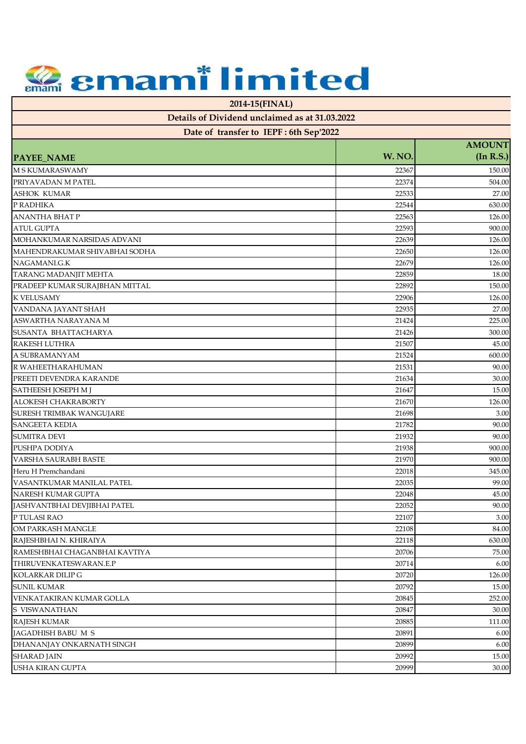**2014-15(FINAL)**

| $\alpha$ and $\alpha$ is the contraction of $\alpha$ and $\alpha$ is a set $\alpha$ is $\alpha$ . Then<br>Date of transfer to IEPF: 6th Sep'2022 |        |               |
|--------------------------------------------------------------------------------------------------------------------------------------------------|--------|---------------|
|                                                                                                                                                  |        | <b>AMOUNT</b> |
| <b>PAYEE_NAME</b>                                                                                                                                | W. NO. | (In R.S.)     |
| <b>M S KUMARASWAMY</b>                                                                                                                           | 22367  | 150.00        |
| PRIYAVADAN M PATEL                                                                                                                               | 22374  | 504.00        |
| <b>ASHOK KUMAR</b>                                                                                                                               | 22533  | 27.00         |
| P RADHIKA                                                                                                                                        | 22544  | 630.00        |
| <b>ANANTHA BHAT P</b>                                                                                                                            | 22563  | 126.00        |
| <b>ATUL GUPTA</b>                                                                                                                                | 22593  | 900.00        |
| MOHANKUMAR NARSIDAS ADVANI                                                                                                                       | 22639  | 126.00        |
| MAHENDRAKUMAR SHIVABHAI SODHA                                                                                                                    | 22650  | 126.00        |
| NAGAMANI.G.K                                                                                                                                     | 22679  | 126.00        |
| TARANG MADANJIT MEHTA                                                                                                                            | 22859  | 18.00         |
| PRADEEP KUMAR SURAJBHAN MITTAL                                                                                                                   | 22892  | 150.00        |
| <b>K VELUSAMY</b>                                                                                                                                | 22906  | 126.00        |
| VANDANA JAYANT SHAH                                                                                                                              | 22935  | 27.00         |
| ASWARTHA NARAYANA M                                                                                                                              | 21424  | 225.00        |
| SUSANTA BHATTACHARYA                                                                                                                             | 21426  | 300.00        |
| <b>RAKESH LUTHRA</b>                                                                                                                             | 21507  | 45.00         |
| A SUBRAMANYAM                                                                                                                                    | 21524  | 600.00        |
| R WAHEETHARAHUMAN                                                                                                                                | 21531  | 90.00         |
| PREETI DEVENDRA KARANDE                                                                                                                          | 21634  | 30.00         |
| SATHEESH JOSEPH M J                                                                                                                              | 21647  | 15.00         |
| ALOKESH CHAKRABORTY                                                                                                                              | 21670  | 126.00        |
| SURESH TRIMBAK WANGUJARE                                                                                                                         | 21698  | 3.00          |
| <b>SANGEETA KEDIA</b>                                                                                                                            | 21782  | 90.00         |
| <b>SUMITRA DEVI</b>                                                                                                                              | 21932  | 90.00         |
| PUSHPA DODIYA                                                                                                                                    | 21938  | 900.00        |
| <b>VARSHA SAURABH BASTE</b>                                                                                                                      | 21970  | 900.00        |
| Heru H Premchandani                                                                                                                              | 22018  | 345.00        |
| VASANTKUMAR MANILAL PATEL                                                                                                                        | 22035  | 99.00         |
| NARESH KUMAR GUPTA                                                                                                                               | 22048  | 45.00         |
| JASHVANTBHAI DEVJIBHAI PATEL                                                                                                                     | 22052  | 90.00         |
| P TULASI RAO                                                                                                                                     | 22107  | 3.00          |
| OM PARKASH MANGLE                                                                                                                                | 22108  | 84.00         |
| RAJESHBHAI N. KHIRAIYA                                                                                                                           | 22118  | 630.00        |
| RAMESHBHAI CHAGANBHAI KAVTIYA                                                                                                                    | 20706  | 75.00         |
| THIRUVENKATESWARAN.E.P                                                                                                                           | 20714  | 6.00          |
| KOLARKAR DILIP G                                                                                                                                 | 20720  | 126.00        |
| <b>SUNIL KUMAR</b>                                                                                                                               | 20792  | 15.00         |
| VENKATAKIRAN KUMAR GOLLA                                                                                                                         | 20845  | 252.00        |
| S VISWANATHAN                                                                                                                                    | 20847  | 30.00         |
| <b>RAJESH KUMAR</b>                                                                                                                              | 20885  | 111.00        |
| JAGADHISH BABU M S                                                                                                                               | 20891  | 6.00          |
| DHANANJAY ONKARNATH SINGH                                                                                                                        | 20899  | 6.00          |
| <b>SHARAD JAIN</b>                                                                                                                               | 20992  | 15.00         |
| USHA KIRAN GUPTA                                                                                                                                 | 20999  | 30.00         |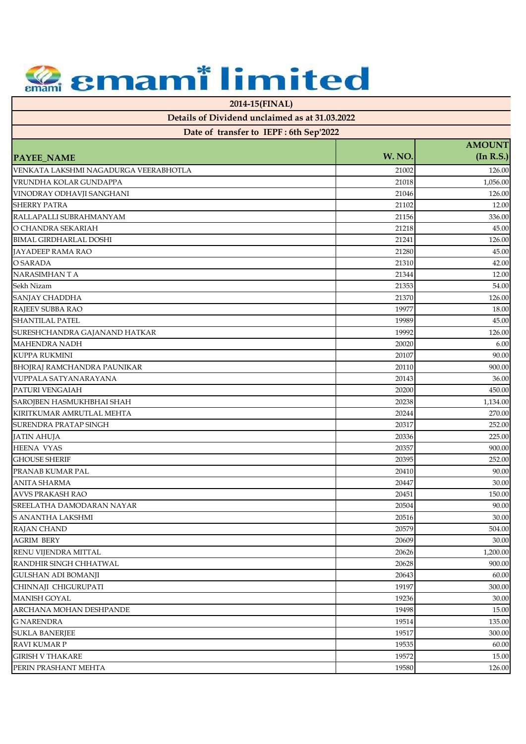**2014-15(FINAL)**

| Date of transfer to IEPF: 6th Sep'2022 |        |               |
|----------------------------------------|--------|---------------|
|                                        |        | <b>AMOUNT</b> |
| <b>PAYEE_NAME</b>                      | W. NO. | (In R.S.)     |
| VENKATA LAKSHMI NAGADURGA VEERABHOTLA  | 21002  | 126.00        |
| VRUNDHA KOLAR GUNDAPPA                 | 21018  | 1,056.00      |
| VINODRAY ODHAVJI SANGHANI              | 21046  | 126.00        |
| <b>SHERRY PATRA</b>                    | 21102  | 12.00         |
| RALLAPALLI SUBRAHMANYAM                | 21156  | 336.00        |
| O CHANDRA SEKARIAH                     | 21218  | 45.00         |
| <b>BIMAL GIRDHARLAL DOSHI</b>          | 21241  | 126.00        |
| <b>JAYADEEP RAMA RAO</b>               | 21280  | 45.00         |
| O SARADA                               | 21310  | 42.00         |
| NARASIMHAN T A                         | 21344  | 12.00         |
| Sekh Nizam                             | 21353  | 54.00         |
| SANJAY CHADDHA                         | 21370  | 126.00        |
| RAJEEV SUBBA RAO                       | 19977  | 18.00         |
| <b>SHANTILAL PATEL</b>                 | 19989  | 45.00         |
| SURESHCHANDRA GAJANAND HATKAR          | 19992  | 126.00        |
| <b>MAHENDRA NADH</b>                   | 20020  | 6.00          |
| <b>KUPPA RUKMINI</b>                   | 20107  | 90.00         |
| BHOJRAJ RAMCHANDRA PAUNIKAR            | 20110  | 900.00        |
| VUPPALA SATYANARAYANA                  | 20143  | 36.00         |
| PATURI VENGAIAH                        | 20200  | 450.00        |
| SAROJBEN HASMUKHBHAI SHAH              | 20238  | 1,134.00      |
| KIRITKUMAR AMRUTLAL MEHTA              | 20244  | 270.00        |
| SURENDRA PRATAP SINGH                  | 20317  | 252.00        |
| <b>JATIN AHUJA</b>                     | 20336  | 225.00        |
| <b>HEENA VYAS</b>                      | 20357  | 900.00        |
| <b>GHOUSE SHERIF</b>                   | 20395  | 252.00        |
| PRANAB KUMAR PAL                       | 20410  | 90.00         |
| <b>ANITA SHARMA</b>                    | 20447  | 30.00         |
| AVVS PRAKASH RAO                       | 20451  | 150.00        |
| SREELATHA DAMODARAN NAYAR              | 20504  | 90.00         |
| S ANANTHA LAKSHMI                      | 20516  | 30.00         |
| RAJAN CHAND                            | 20579  | 504.00        |
| <b>AGRIM BERY</b>                      | 20609  | 30.00         |
| <b>RENU VIJENDRA MITTAL</b>            | 20626  | 1,200.00      |
| RANDHIR SINGH CHHATWAL                 | 20628  | 900.00        |
| <b>GULSHAN ADI BOMANJI</b>             | 20643  | 60.00         |
| CHINNAJI CHIGURUPATI                   | 19197  | 300.00        |
| <b>MANISH GOYAL</b>                    | 19236  | 30.00         |
| ARCHANA MOHAN DESHPANDE                | 19498  | 15.00         |
| <b>G NARENDRA</b>                      | 19514  | 135.00        |
| <b>SUKLA BANERJEE</b>                  | 19517  | 300.00        |
| <b>RAVI KUMAR P</b>                    | 19535  | 60.00         |
| <b>GIRISH V THAKARE</b>                | 19572  | 15.00         |
| PERIN PRASHANT MEHTA                   | 19580  | 126.00        |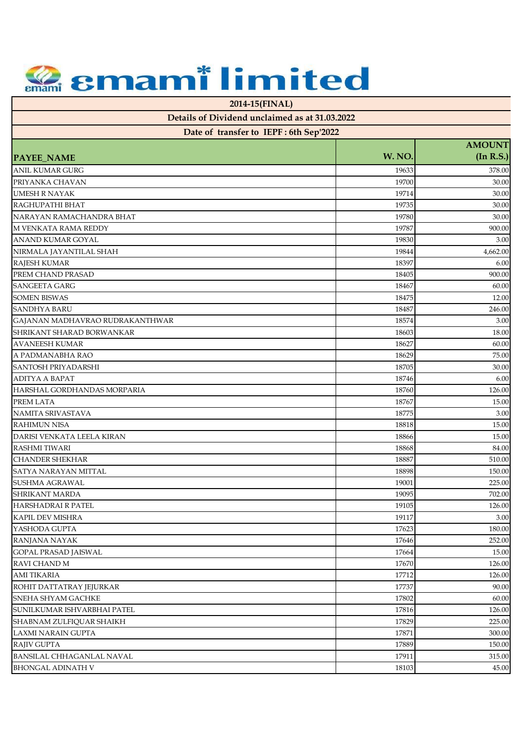**2014-15(FINAL)**

| Date of transfer to IEPF: 6th Sep'2022 |        |               |
|----------------------------------------|--------|---------------|
|                                        |        | <b>AMOUNT</b> |
| <b>PAYEE_NAME</b>                      | W. NO. | (In R.S.)     |
| <b>ANIL KUMAR GURG</b>                 | 19633  | 378.00        |
| PRIYANKA CHAVAN                        | 19700  | 30.00         |
| <b>UMESH R NAYAK</b>                   | 19714  | 30.00         |
| RAGHUPATHI BHAT                        | 19735  | 30.00         |
| NARAYAN RAMACHANDRA BHAT               | 19780  | 30.00         |
| M VENKATA RAMA REDDY                   | 19787  | 900.00        |
| ANAND KUMAR GOYAL                      | 19830  | 3.00          |
| NIRMALA JAYANTILAL SHAH                | 19844  | 4,662.00      |
| <b>RAJESH KUMAR</b>                    | 18397  | 6.00          |
| PREM CHAND PRASAD                      | 18405  | 900.00        |
| <b>SANGEETA GARG</b>                   | 18467  | 60.00         |
| <b>SOMEN BISWAS</b>                    | 18475  | 12.00         |
| SANDHYA BARU                           | 18487  | 246.00        |
| GAJANAN MADHAVRAO RUDRAKANTHWAR        | 18574  | 3.00          |
| SHRIKANT SHARAD BORWANKAR              | 18603  | 18.00         |
| AVANEESH KUMAR                         | 18627  | 60.00         |
| A PADMANABHA RAO                       | 18629  | 75.00         |
| SANTOSH PRIYADARSHI                    | 18705  | 30.00         |
| ADITYA A BAPAT                         | 18746  | 6.00          |
| HARSHAL GORDHANDAS MORPARIA            | 18760  | 126.00        |
| PREM LATA                              | 18767  | 15.00         |
| NAMITA SRIVASTAVA                      | 18775  | 3.00          |
| <b>RAHIMUN NISA</b>                    | 18818  | 15.00         |
| DARISI VENKATA LEELA KIRAN             | 18866  | 15.00         |
| <b>RASHMI TIWARI</b>                   | 18868  | 84.00         |
| <b>CHANDER SHEKHAR</b>                 | 18887  | 510.00        |
| SATYA NARAYAN MITTAL                   | 18898  | 150.00        |
| SUSHMA AGRAWAL                         | 19001  | 225.00        |
| <b>SHRIKANT MARDA</b>                  | 19095  | 702.00        |
| HARSHADRAI R PATEL                     | 19105  | 126.00        |
| KAPIL DEV MISHRA                       | 19117  | $3.00\,$      |
| YASHODA GUPTA                          | 17623  | 180.00        |
| <b>RANJANA NAYAK</b>                   | 17646  | 252.00        |
| <b>GOPAL PRASAD JAISWAL</b>            | 17664  | 15.00         |
| RAVI CHAND M                           | 17670  | 126.00        |
| <b>AMI TIKARIA</b>                     | 17712  | 126.00        |
| ROHIT DATTATRAY JEJURKAR               | 17737  | 90.00         |
| SNEHA SHYAM GACHKE                     | 17802  | 60.00         |
| SUNILKUMAR ISHVARBHAI PATEL            | 17816  | 126.00        |
| SHABNAM ZULFIOUAR SHAIKH               |        |               |
|                                        | 17829  | 225.00        |
| LAXMI NARAIN GUPTA                     | 17871  | 300.00        |
| <b>RAJIV GUPTA</b>                     | 17889  | 150.00        |
| BANSILAL CHHAGANLAL NAVAL              | 17911  | 315.00        |
| BHONGAL ADINATH V                      | 18103  | 45.00         |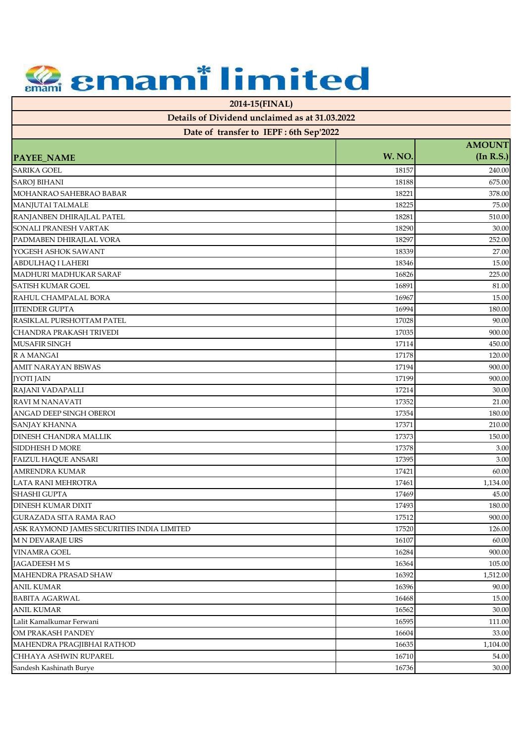**2014-15(FINAL)**

| Date of transfer to IEPF: 6th Sep'2022     |        |                            |
|--------------------------------------------|--------|----------------------------|
|                                            | W. NO. | <b>AMOUNT</b><br>(In R.S.) |
| PAYEE_NAME                                 |        |                            |
| SARIKA GOEL                                | 18157  | 240.00                     |
| <b>SAROJ BIHANI</b>                        | 18188  | 675.00                     |
| MOHANRAO SAHEBRAO BABAR                    | 18221  | 378.00                     |
| MANJUTAI TALMALE                           | 18225  | 75.00                      |
| RANJANBEN DHIRAJLAL PATEL                  | 18281  | 510.00                     |
| SONALI PRANESH VARTAK                      | 18290  | 30.00                      |
| PADMABEN DHIRAJLAL VORA                    | 18297  | 252.00                     |
| YOGESH ASHOK SAWANT                        | 18339  | 27.00                      |
| ABDULHAQ I LAHERI                          | 18346  | 15.00                      |
| MADHURI MADHUKAR SARAF                     | 16826  | 225.00                     |
| SATISH KUMAR GOEL                          | 16891  | 81.00                      |
| RAHUL CHAMPALAL BORA                       | 16967  | 15.00                      |
| <b>IITENDER GUPTA</b>                      | 16994  | 180.00                     |
| RASIKLAL PURSHOTTAM PATEL                  | 17028  | 90.00                      |
| CHANDRA PRAKASH TRIVEDI                    | 17035  | 900.00                     |
| MUSAFIR SINGH                              | 17114  | 450.00                     |
| <b>RAMANGAI</b>                            | 17178  | 120.00                     |
| AMIT NARAYAN BISWAS                        | 17194  | 900.00                     |
| <b>JYOTI JAIN</b>                          | 17199  | 900.00                     |
| RAJANI VADAPALLI                           | 17214  | 30.00                      |
| <b>RAVI M NANAVATI</b>                     | 17352  | 21.00                      |
| ANGAD DEEP SINGH OBEROI                    | 17354  | 180.00                     |
| SANJAY KHANNA                              | 17371  | 210.00                     |
| DINESH CHANDRA MALLIK                      | 17373  | 150.00                     |
| SIDDHESH D MORE                            | 17378  | 3.00                       |
| FAIZUL HAQUE ANSARI                        | 17395  | 3.00                       |
| AMRENDRA KUMAR                             | 17421  | 60.00                      |
| LATA RANI MEHROTRA                         | 17461  | 1,134.00                   |
| SHASHI GUPTA                               | 17469  | 45.00                      |
| DINESH KUMAR DIXIT                         | 17493  | 180.00                     |
| <b>GURAZADA SITA RAMA RAO</b>              | 17512  | 900.00                     |
| ASK RAYMOND JAMES SECURITIES INDIA LIMITED | 17520  | 126.00                     |
| M N DEVARAJE URS                           | 16107  | 60.00                      |
| <b>VINAMRA GOEL</b>                        | 16284  | 900.00                     |
| JAGADEESH M S                              | 16364  | 105.00                     |
| MAHENDRA PRASAD SHAW                       | 16392  | 1,512.00                   |
| <b>ANIL KUMAR</b>                          | 16396  | 90.00                      |
| <b>BABITA AGARWAL</b>                      | 16468  | 15.00                      |
| ANIL KUMAR                                 | 16562  | 30.00                      |
| Lalit Kamalkumar Ferwani                   | 16595  | 111.00                     |
| OM PRAKASH PANDEY                          | 16604  | 33.00                      |
| MAHENDRA PRAGJIBHAI RATHOD                 | 16635  | 1,104.00                   |
| CHHAYA ASHWIN RUPAREL                      | 16710  | 54.00                      |
| Sandesh Kashinath Burye                    | 16736  | 30.00                      |
|                                            |        |                            |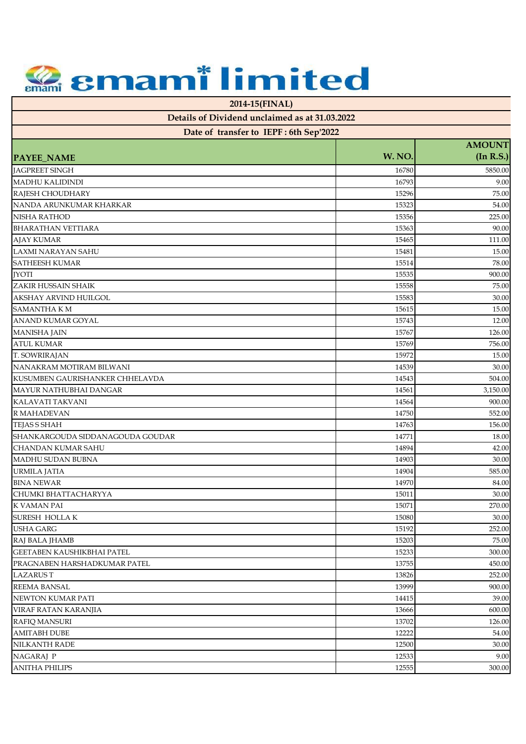**2014-15(FINAL)**

| Date of transfer to IEPF: 6th Sep'2022 |        |                            |
|----------------------------------------|--------|----------------------------|
|                                        | W. NO. | <b>AMOUNT</b><br>(In R.S.) |
| <b>PAYEE_NAME</b>                      |        |                            |
| <b>JAGPREET SINGH</b>                  | 16780  | 5850.00                    |
| <b>MADHU KALIDINDI</b>                 | 16793  | 9.00                       |
| RAJESH CHOUDHARY                       | 15296  | 75.00                      |
| NANDA ARUNKUMAR KHARKAR                | 15323  | 54.00                      |
| <b>NISHA RATHOD</b>                    | 15356  | 225.00                     |
| <b>BHARATHAN VETTIARA</b>              | 15363  | 90.00                      |
| <b>AJAY KUMAR</b>                      | 15465  | 111.00                     |
| LAXMI NARAYAN SAHU                     | 15481  | 15.00                      |
| <b>SATHEESH KUMAR</b>                  | 15514  | 78.00                      |
| <b>JYOTI</b>                           | 15535  | 900.00                     |
| ZAKIR HUSSAIN SHAIK                    | 15558  | 75.00                      |
| AKSHAY ARVIND HUILGOL                  | 15583  | 30.00                      |
| <b>SAMANTHA KM</b>                     | 15615  | 15.00                      |
| ANAND KUMAR GOYAL                      | 15743  | 12.00                      |
| <b>MANISHA JAIN</b>                    | 15767  | 126.00                     |
| <b>ATUL KUMAR</b>                      | 15769  | 756.00                     |
| T. SOWRIRAJAN                          | 15972  | 15.00                      |
| NANAKRAM MOTIRAM BILWANI               | 14539  | 30.00                      |
| KUSUMBEN GAURISHANKER CHHELAVDA        | 14543  | 504.00                     |
| MAYUR NATHUBHAI DANGAR                 | 14561  | 3,150.00                   |
| KALAVATI TAKVANI                       | 14564  | 900.00                     |
| R MAHADEVAN                            | 14750  | 552.00                     |
| TEJAS S SHAH                           | 14763  | 156.00                     |
| SHANKARGOUDA SIDDANAGOUDA GOUDAR       | 14771  | 18.00                      |
| CHANDAN KUMAR SAHU                     | 14894  | 42.00                      |
| MADHU SUDAN BUBNA                      | 14903  | 30.00                      |
| URMILA JATIA                           | 14904  | 585.00                     |
| <b>BINA NEWAR</b>                      | 14970  | 84.00                      |
| CHUMKI BHATTACHARYYA                   | 15011  | 30.00                      |
| K VAMAN PAI                            | 15071  | 270.00                     |
| <b>SURESH HOLLAK</b>                   | 15080  | 30.00                      |
| <b>USHA GARG</b>                       | 15192  | 252.00                     |
| RAJ BALA JHAMB                         | 15203  | 75.00                      |
| GEETABEN KAUSHIKBHAI PATEL             | 15233  | 300.00                     |
| PRAGNABEN HARSHADKUMAR PATEL           | 13755  | 450.00                     |
| <b>LAZARUST</b>                        | 13826  | 252.00                     |
| <b>REEMA BANSAL</b>                    | 13999  | 900.00                     |
| NEWTON KUMAR PATI                      | 14415  | 39.00                      |
| VIRAF RATAN KARANJIA                   | 13666  | 600.00                     |
| RAFIQ MANSURI                          | 13702  | 126.00                     |
| <b>AMITABH DUBE</b>                    | 12222  | 54.00                      |
| NILKANTH RADE                          | 12500  | 30.00                      |
| NAGARAJ P                              | 12533  | 9.00                       |
| <b>ANITHA PHILIPS</b>                  | 12555  | 300.00                     |
|                                        |        |                            |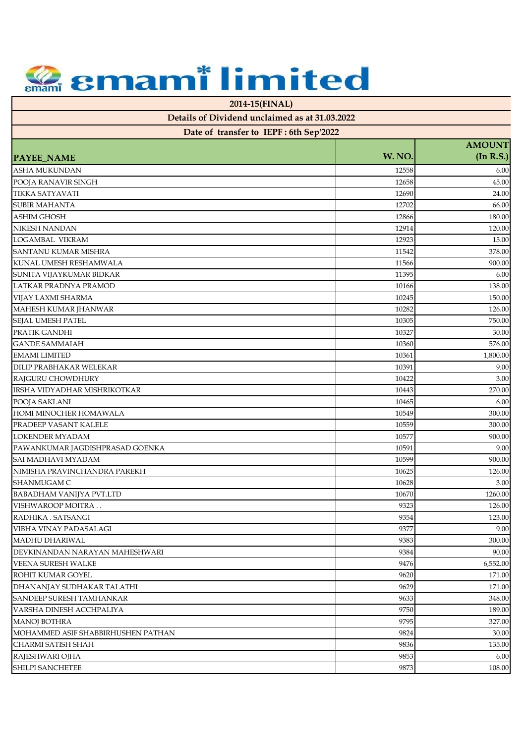**2014-15(FINAL)**

| Date of transfer to IEPF: 6th Sep'2022 |                |                            |
|----------------------------------------|----------------|----------------------------|
|                                        | W. NO.         | <b>AMOUNT</b><br>(In R.S.) |
| PAYEE_NAME<br><b>ASHA MUKUNDAN</b>     | 12558          | 6.00                       |
| POOJA RANAVIR SINGH                    | 12658          | 45.00                      |
| <b>TIKKA SATYAVATI</b>                 | 12690          | 24.00                      |
| <b>SUBIR MAHANTA</b>                   |                |                            |
| <b>ASHIM GHOSH</b>                     | 12702          | 66.00                      |
| <b>NIKESH NANDAN</b>                   | 12866          | 180.00<br>120.00           |
| LOGAMBAL VIKRAM                        | 12914<br>12923 |                            |
| <b>SANTANU KUMAR MISHRA</b>            |                | 15.00                      |
|                                        | 11542          | 378.00                     |
| KUNAL UMESH RESHAMWALA                 | 11566          | 900.00                     |
| SUNITA VIJAYKUMAR BIDKAR               | 11395          | 6.00                       |
| LATKAR PRADNYA PRAMOD                  | 10166          | 138.00                     |
| VIJAY LAXMI SHARMA                     | 10245          | 150.00                     |
| MAHESH KUMAR JHANWAR                   | 10282          | 126.00                     |
| SEJAL UMESH PATEL                      | 10305          | 750.00                     |
| PRATIK GANDHI                          | 10327          | 30.00                      |
| <b>GANDE SAMMAIAH</b>                  | 10360          | 576.00                     |
| <b>EMAMI LIMITED</b>                   | 10361          | 1,800.00                   |
| DILIP PRABHAKAR WELEKAR                | 10391          | 9.00                       |
| RAJGURU CHOWDHURY                      | 10422          | 3.00                       |
| IRSHA VIDYADHAR MISHRIKOTKAR           | 10443          | 270.00                     |
| POOJA SAKLANI                          | 10465          | 6.00                       |
| HOMI MINOCHER HOMAWALA                 | 10549          | 300.00                     |
| PRADEEP VASANT KALELE                  | 10559          | 300.00                     |
| LOKENDER MYADAM                        | 10577          | 900.00                     |
| PAWANKUMAR JAGDISHPRASAD GOENKA        | 10591          | 9.00                       |
| SAI MADHAVI MYADAM                     | 10599          | 900.00                     |
| NIMISHA PRAVINCHANDRA PAREKH           | 10625          | 126.00                     |
| <b>SHANMUGAM C</b>                     | 10628          | 3.00                       |
| <b>BABADHAM VANIJYA PVT.LTD</b>        | 10670          | 1260.00                    |
| VISHWAROOP MOITRA                      | 9323           | 126.00                     |
| RADHIKA . SATSANGI                     | 9354           | 123.00                     |
| VIBHA VINAY PADASALAGI                 | 9377           | 9.00                       |
| <b>MADHU DHARIWAL</b>                  | 9383           | 300.00                     |
| DEVKINANDAN NARAYAN MAHESHWARI         | 9384           | 90.00                      |
| <b>VEENA SURESH WALKE</b>              | 9476           | 6,552.00                   |
| ROHIT KUMAR GOYEL                      | 9620           | 171.00                     |
| DHANANJAY SUDHAKAR TALATHI             | 9629           | 171.00                     |
| SANDEEP SURESH TAMHANKAR               | 9633           | 348.00                     |
| VARSHA DINESH ACCHPALIYA               | 9750           | 189.00                     |
| <b>MANOJ BOTHRA</b>                    | 9795           | 327.00                     |
| MOHAMMED ASIF SHABBIRHUSHEN PATHAN     | 9824           | 30.00                      |
| <b>CHARMI SATISH SHAH</b>              | 9836           | 135.00                     |
| RAJESHWARI OJHA                        | 9853           | 6.00                       |
| SHILPI SANCHETEE                       | 9873           | 108.00                     |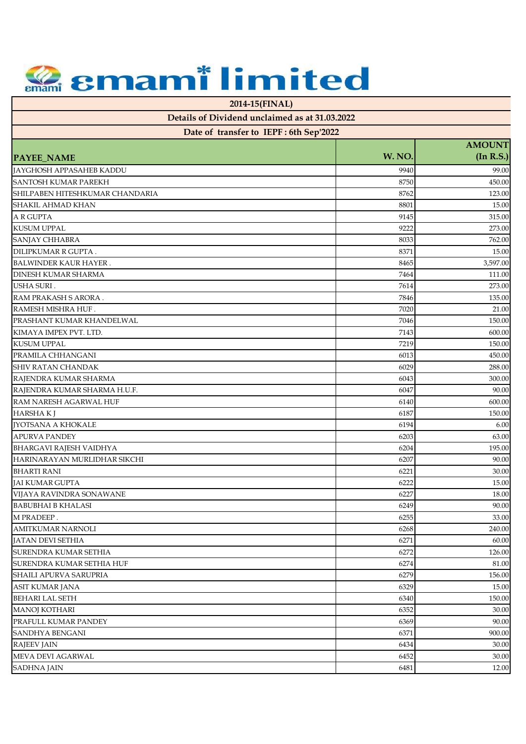**2014-15(FINAL)**

|  |  |  | Date of transfer to IEPF : 6th Sep'2022 |  |
|--|--|--|-----------------------------------------|--|
|--|--|--|-----------------------------------------|--|

|                                 | -      | <b>AMOUNT</b> |
|---------------------------------|--------|---------------|
| PAYEE_NAME                      | W. NO. | (In R.S.)     |
| <b>JAYGHOSH APPASAHEB KADDU</b> | 9940   | 99.00         |
| <b>SANTOSH KUMAR PAREKH</b>     | 8750   | 450.00        |
| SHILPABEN HITESHKUMAR CHANDARIA | 8762   | 123.00        |
| SHAKIL AHMAD KHAN               | 8801   | 15.00         |
| <b>A R GUPTA</b>                | 9145   | 315.00        |
| <b>KUSUM UPPAL</b>              | 9222   | 273.00        |
| SANJAY CHHABRA                  | 8033   | 762.00        |
| DILIPKUMAR R GUPTA.             | 8371   | 15.00         |
| <b>BALWINDER KAUR HAYER.</b>    | 8465   | 3,597.00      |
| <b>DINESH KUMAR SHARMA</b>      | 7464   | 111.00        |
| <b>USHA SURI.</b>               | 7614   | 273.00        |
| RAM PRAKASH S ARORA.            | 7846   | 135.00        |
| RAMESH MISHRA HUF.              | 7020   | 21.00         |
| PRASHANT KUMAR KHANDELWAL       | 7046   | 150.00        |
| KIMAYA IMPEX PVT. LTD.          | 7143   | 600.00        |
| <b>KUSUM UPPAL</b>              | 7219   | 150.00        |
| PRAMILA CHHANGANI               | 6013   | 450.00        |
| <b>SHIV RATAN CHANDAK</b>       | 6029   | 288.00        |
| RAJENDRA KUMAR SHARMA           | 6043   | 300.00        |
| RAJENDRA KUMAR SHARMA H.U.F.    | 6047   | 90.00         |
| RAM NARESH AGARWAL HUF          | 6140   | 600.00        |
| <b>HARSHAK</b> J                | 6187   | 150.00        |
| <b>IYOTSANA A KHOKALE</b>       | 6194   | 6.00          |
| <b>APURVA PANDEY</b>            | 6203   | 63.00         |
| <b>BHARGAVI RAJESH VAIDHYA</b>  | 6204   | 195.00        |
| HARINARAYAN MURLIDHAR SIKCHI    | 6207   | 90.00         |
| <b>BHARTI RANI</b>              | 6221   | 30.00         |
| <b>JAI KUMAR GUPTA</b>          | 6222   | 15.00         |
| VIJAYA RAVINDRA SONAWANE        | 6227   | 18.00         |
| <b>BABUBHAI B KHALASI</b>       | 6249   | 90.00         |
| M PRADEEP.                      | 6255   | 33.00         |
| AMITKUMAR NARNOLI               | 6268   | 240.00        |
| <b>JATAN DEVI SETHIA</b>        | 6271   | 60.00         |
| SURENDRA KUMAR SETHIA           | 6272   | 126.00        |
| SURENDRA KUMAR SETHIA HUF       | 6274   | 81.00         |
| SHAILI APURVA SARUPRIA          | 6279   | 156.00        |
| ASIT KUMAR JANA                 | 6329   | 15.00         |
| <b>BEHARI LAL SETH</b>          | 6340   | 150.00        |
| <b>MANOJ KOTHARI</b>            | 6352   | 30.00         |
| PRAFULL KUMAR PANDEY            | 6369   | 90.00         |
| SANDHYA BENGANI                 | 6371   | 900.00        |
| <b>RAJEEV JAIN</b>              | 6434   | 30.00         |
| MEVA DEVI AGARWAL               | 6452   | 30.00         |
| SADHNA JAIN                     | 6481   | 12.00         |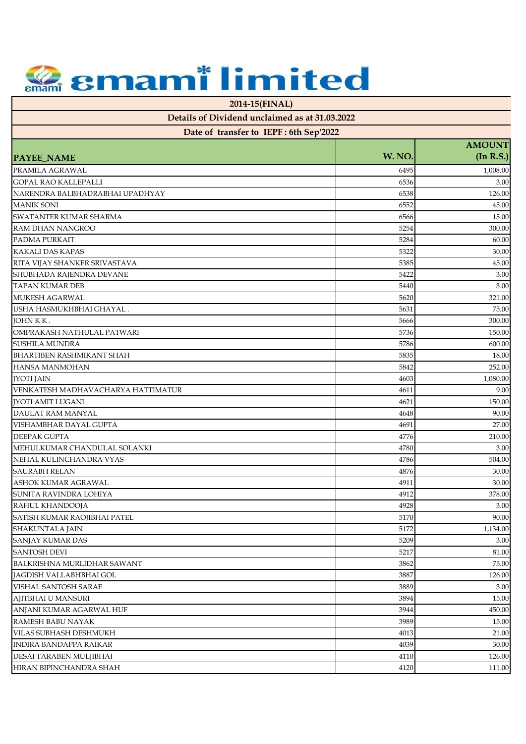**2014-15(FINAL)**

| Date of transfer to IEPF: 6th Sep'2022 |        |                            |
|----------------------------------------|--------|----------------------------|
| <b>PAYEE_NAME</b>                      | W. NO. | <b>AMOUNT</b><br>(In R.S.) |
| PRAMILA AGRAWAL                        | 6495   | 1,008.00                   |
| <b>GOPAL RAO KALLEPALLI</b>            | 6536   | 3.00                       |
| NARENDRA BALBHADRABHAI UPADHYAY        | 6538   | 126.00                     |
| <b>MANIK SONI</b>                      | 6552   | 45.00                      |
| <b>SWATANTER KUMAR SHARMA</b>          | 6566   | 15.00                      |
| <b>RAM DHAN NANGROO</b>                | 5254   | 300.00                     |
| PADMA PURKAIT                          | 5284   | 60.00                      |
| <b>KAKALI DAS KAPAS</b>                | 5322   | 30.00                      |
| RITA VIJAY SHANKER SRIVASTAVA          | 5385   | 45.00                      |
| SHUBHADA RAJENDRA DEVANE               | 5422   | 3.00                       |
| <b>TAPAN KUMAR DEB</b>                 | 5440   | 3.00                       |
| <b>MUKESH AGARWAL</b>                  | 5620   | 321.00                     |
| USHA HASMUKHBHAI GHAYAL.               | 5631   | 75.00                      |
| JOHN K K.                              | 5666   | 300.00                     |
| OMPRAKASH NATHULAL PATWARI             | 5736   | 150.00                     |
| <b>SUSHILA MUNDRA</b>                  | 5786   | 600.00                     |
| <b>BHARTIBEN RASHMIKANT SHAH</b>       | 5835   | 18.00                      |
| <b>HANSA MANMOHAN</b>                  | 5842   | 252.00                     |
| <b>JYOTI JAIN</b>                      | 4603   | 1,080.00                   |
| VENKATESH MADHAVACHARYA HATTIMATUR     | 4611   | 9.00                       |
| <b>IYOTI AMIT LUGANI</b>               | 4621   | 150.00                     |
| DAULAT RAM MANYAL                      | 4648   | 90.00                      |
| VISHAMBHAR DAYAL GUPTA                 | 4691   | 27.00                      |
| <b>DEEPAK GUPTA</b>                    | 4776   | 210.00                     |
| MEHULKUMAR CHANDULAL SOLANKI           | 4780   | 3.00                       |
| NEHAL KULINCHANDRA VYAS                | 4786   | 504.00                     |
| <b>SAURABH RELAN</b>                   | 4876   | 30.00                      |
| <b>ASHOK KUMAR AGRAWAL</b>             | 4911   | 30.00                      |
| SUNITA RAVINDRA LOHIYA                 | 4912   | 378.00                     |
| RAHUL KHANDOOJA                        | 4928   | 3.00                       |
| SATISH KUMAR RAOJIBHAI PATEL           | 5170   | 90.00                      |
| <b>SHAKUNTALA JAIN</b>                 | 5172   | 1,134.00                   |
| SANJAY KUMAR DAS                       | 5209   | 3.00                       |
| <b>SANTOSH DEVI</b>                    | 5217   | 81.00                      |
| BALKRISHNA MURLIDHAR SAWANT            | 3862   | 75.00                      |
| JAGDISH VALLABHBHAI GOL                | 3887   | 126.00                     |
| <b>VISHAL SANTOSH SARAF</b>            | 3889   | 3.00                       |
| AJITBHAI U MANSURI                     | 3894   | 15.00                      |
| ANJANI KUMAR AGARWAL HUF               | 3944   | 450.00                     |
| RAMESH BABU NAYAK                      | 3989   | 15.00                      |
| <b>VILAS SUBHASH DESHMUKH</b>          | 4013   | 21.00                      |
| <b>INDIRA BANDAPPA RAIKAR</b>          | 4039   | 30.00                      |
| DESAI TARABEN MULJIBHAI                | 4110   | 126.00                     |
| HIRAN BIPINCHANDRA SHAH                | 4120   | 111.00                     |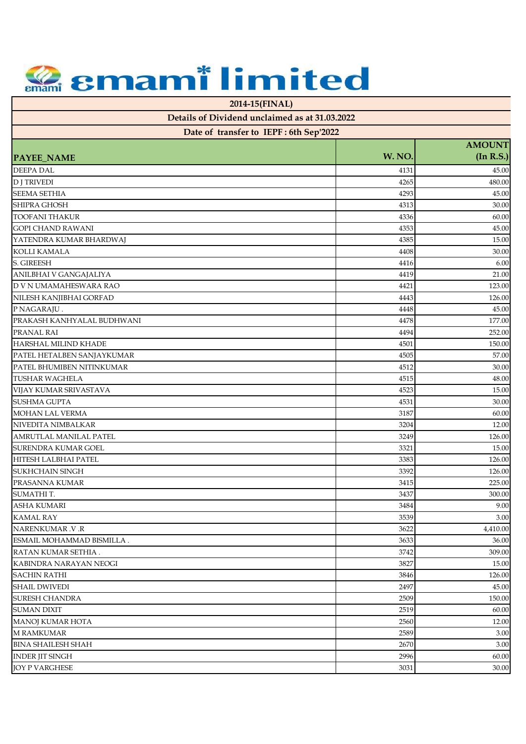**2014-15(FINAL)**

| Date of transfer to IEPF: 6th Sep'2022 |        |               |
|----------------------------------------|--------|---------------|
|                                        |        | <b>AMOUNT</b> |
| <b>PAYEE_NAME</b>                      | W. NO. | (In R.S.)     |
| <b>DEEPA DAL</b>                       | 4131   | 45.00         |
| <b>D J TRIVEDI</b>                     | 4265   | 480.00        |
| <b>SEEMA SETHIA</b>                    | 4293   | 45.00         |
| SHIPRA GHOSH                           | 4313   | 30.00         |
| <b>TOOFANI THAKUR</b>                  | 4336   | 60.00         |
| <b>GOPI CHAND RAWANI</b>               | 4353   | 45.00         |
| YATENDRA KUMAR BHARDWAJ                | 4385   | 15.00         |
| <b>KOLLI KAMALA</b>                    | 4408   | 30.00         |
| S. GIREESH                             | 4416   | 6.00          |
| ANILBHAI V GANGAJALIYA                 | 4419   | 21.00         |
| D V N UMAMAHESWARA RAO                 | 4421   | 123.00        |
| NILESH KANJIBHAI GORFAD                | 4443   | 126.00        |
| P NAGARAJU.                            | 4448   | 45.00         |
| PRAKASH KANHYALAL BUDHWANI             | 4478   | 177.00        |
| PRANAL RAI                             | 4494   | 252.00        |
| HARSHAL MILIND KHADE                   | 4501   | 150.00        |
| PATEL HETALBEN SANJAYKUMAR             | 4505   | 57.00         |
| PATEL BHUMIBEN NITINKUMAR              | 4512   | 30.00         |
| <b>TUSHAR WAGHELA</b>                  | 4515   | 48.00         |
| VIJAY KUMAR SRIVASTAVA                 | 4523   | 15.00         |
| SUSHMA GUPTA                           | 4531   | 30.00         |
| MOHAN LAL VERMA                        | 3187   | 60.00         |
| NIVEDITA NIMBALKAR                     | 3204   | 12.00         |
| AMRUTLAL MANILAL PATEL                 | 3249   | 126.00        |
| SURENDRA KUMAR GOEL                    | 3321   | 15.00         |
| HITESH LALBHAI PATEL                   | 3383   | 126.00        |
| SUKHCHAIN SINGH                        | 3392   | 126.00        |
| PRASANNA KUMAR                         | 3415   | 225.00        |
| SUMATHI T.                             | 3437   | 300.00        |
| <b>ASHA KUMARI</b>                     | 3484   | 9.00          |
| <b>KAMAL RAY</b>                       | 3539   | 3.00          |
|                                        |        |               |
| NARENKUMAR .V.R                        | 3622   | 4,410.00      |
| ESMAIL MOHAMMAD BISMILLA.              | 3633   | 36.00         |
| RATAN KUMAR SETHIA.                    | 3742   | 309.00        |
| KABINDRA NARAYAN NEOGI                 | 3827   | 15.00         |
| <b>SACHIN RATHI</b>                    | 3846   | 126.00        |
| <b>SHAIL DWIVEDI</b>                   | 2497   | 45.00         |
| <b>SURESH CHANDRA</b>                  | 2509   | 150.00        |
| <b>SUMAN DIXIT</b>                     | 2519   | 60.00         |
| MANOJ KUMAR HOTA                       | 2560   | 12.00         |
| <b>M RAMKUMAR</b>                      | 2589   | 3.00          |
| <b>BINA SHAILESH SHAH</b>              | 2670   | 3.00          |
| <b>INDER JIT SINGH</b>                 | 2996   | 60.00         |
| <b>JOY P VARGHESE</b>                  | 3031   | 30.00         |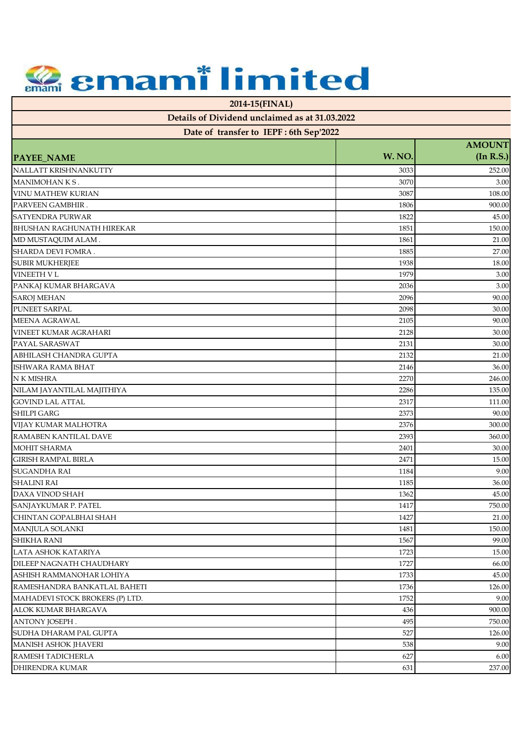**2014-15(FINAL)**

| Date of transfer to IEPF: 6th Sep'2022 |        |           |  |
|----------------------------------------|--------|-----------|--|
| <b>AMOUNT</b>                          |        |           |  |
| <b>PAYEE_NAME</b>                      | W. NO. | (In R.S.) |  |
| NALLATT KRISHNANKUTTY                  | 3033   | 252.00    |  |
| MANIMOHANKS.                           | 3070   | 3.00      |  |
| <b>VINU MATHEW KURIAN</b>              | 3087   | 108.00    |  |
| PARVEEN GAMBHIR.                       | 1806   | 900.00    |  |
| <b>SATYENDRA PURWAR</b>                | 1822   | 45.00     |  |
| <b>BHUSHAN RAGHUNATH HIREKAR</b>       | 1851   | 150.00    |  |
| MD MUSTAQUIM ALAM.                     | 1861   | 21.00     |  |
| SHARDA DEVI FOMRA.                     | 1885   | 27.00     |  |
| <b>SUBIR MUKHERJEE</b>                 | 1938   | 18.00     |  |
| <b>VINEETH V L</b>                     | 1979   | 3.00      |  |
| PANKAJ KUMAR BHARGAVA                  | 2036   | 3.00      |  |
| <b>SAROJ MEHAN</b>                     | 2096   | 90.00     |  |
| PUNEET SARPAL                          | 2098   | 30.00     |  |
| MEENA AGRAWAL                          | 2105   | 90.00     |  |
| <b>VINEET KUMAR AGRAHARI</b>           | 2128   | 30.00     |  |
| PAYAL SARASWAT                         | 2131   | 30.00     |  |
| <b>ABHILASH CHANDRA GUPTA</b>          | 2132   | 21.00     |  |
| ISHWARA RAMA BHAT                      | 2146   | 36.00     |  |
| N K MISHRA                             | 2270   | 246.00    |  |
| NILAM JAYANTILAL MAJITHIYA             | 2286   | 135.00    |  |
| <b>GOVIND LAL ATTAL</b>                | 2317   | 111.00    |  |
| <b>SHILPI GARG</b>                     | 2373   | 90.00     |  |
| VIJAY KUMAR MALHOTRA                   | 2376   | 300.00    |  |
| RAMABEN KANTILAL DAVE                  | 2393   | 360.00    |  |
| <b>MOHIT SHARMA</b>                    | 2401   | 30.00     |  |
| <b>GIRISH RAMPAL BIRLA</b>             | 2471   | 15.00     |  |
| <b>SUGANDHA RAI</b>                    | 1184   | 9.00      |  |
| <b>SHALINI RAI</b>                     | 1185   | 36.00     |  |
| DAXA VINOD SHAH                        | 1362   | 45.00     |  |
| SANJAYKUMAR P. PATEL                   | 1417   | 750.00    |  |
| CHINTAN GOPALBHAI SHAH                 | 1427   | 21.00     |  |
| MANJULA SOLANKI                        | 1481   | 150.00    |  |
| <b>SHIKHA RANI</b>                     | 1567   | 99.00     |  |
| LATA ASHOK KATARIYA                    | 1723   | 15.00     |  |
| DILEEP NAGNATH CHAUDHARY               | 1727   | 66.00     |  |
| ASHISH RAMMANOHAR LOHIYA               | 1733   | 45.00     |  |
| RAMESHANDRA BANKATLAL BAHETI           | 1736   | 126.00    |  |
| MAHADEVI STOCK BROKERS (P) LTD.        | 1752   | 9.00      |  |
| ALOK KUMAR BHARGAVA                    | 436    | 900.00    |  |
| ANTONY JOSEPH.                         | 495    | 750.00    |  |
| SUDHA DHARAM PAL GUPTA                 | 527    | 126.00    |  |
| <b>MANISH ASHOK JHAVERI</b>            | 538    | 9.00      |  |
| RAMESH TADICHERLA                      | 627    | 6.00      |  |
| <b>DHIRENDRA KUMAR</b>                 | 631    | 237.00    |  |